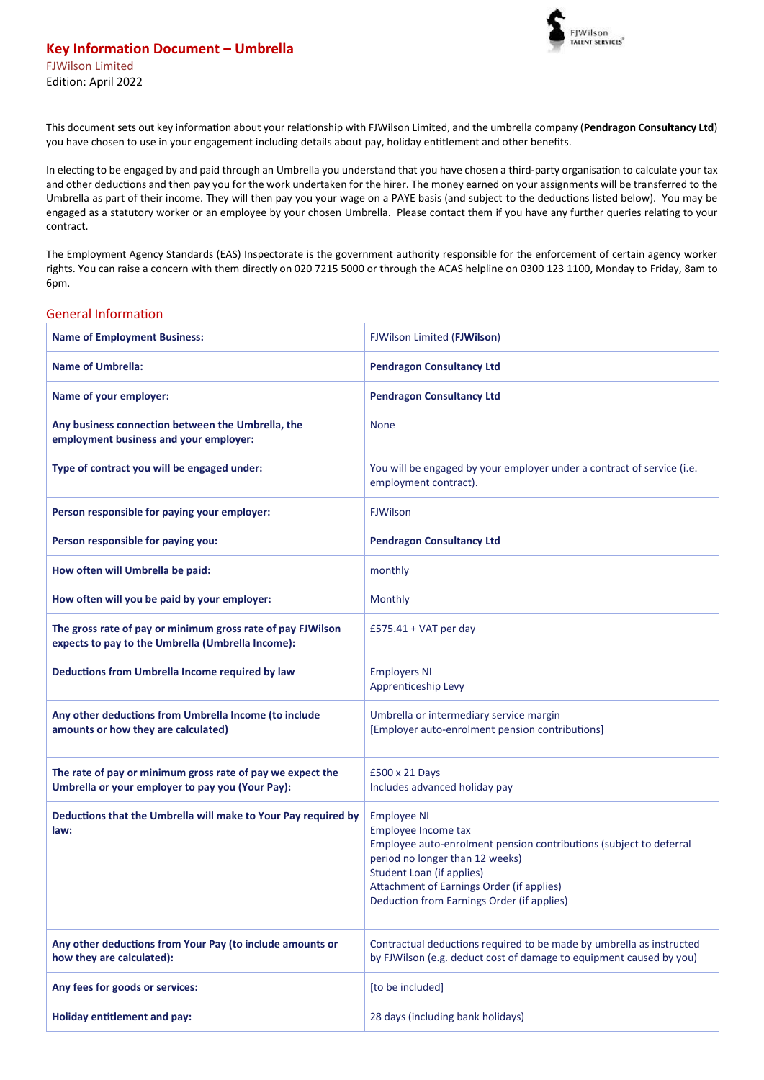

This document sets out key information about your relationship with FJWilson Limited, and the umbrella company (**Pendragon Consultancy Ltd**) you have chosen to use in your engagement including details about pay, holiday entitlement and other benefits.

In electing to be engaged by and paid through an Umbrella you understand that you have chosen a third-party organisation to calculate your tax and other deductions and then pay you for the work undertaken for the hirer. The money earned on your assignments will be transferred to the Umbrella as part of their income. They will then pay you your wage on a PAYE basis (and subject to the deductions listed below). You may be engaged as a statutory worker or an employee by your chosen Umbrella. Please contact them if you have any further queries relating to your contract.

The Employment Agency Standards (EAS) Inspectorate is the government authority responsible for the enforcement of certain agency worker rights. You can raise a concern with them directly on 020 7215 5000 or through the ACAS helpline on 0300 123 1100, Monday to Friday, 8am to 6pm.

## General Information

| <b>Name of Employment Business:</b>                                                                              | FJWilson Limited (FJWilson)                                                                                                                                                                                                                                                       |  |
|------------------------------------------------------------------------------------------------------------------|-----------------------------------------------------------------------------------------------------------------------------------------------------------------------------------------------------------------------------------------------------------------------------------|--|
| <b>Name of Umbrella:</b>                                                                                         | <b>Pendragon Consultancy Ltd</b>                                                                                                                                                                                                                                                  |  |
| Name of your employer:                                                                                           | <b>Pendragon Consultancy Ltd</b>                                                                                                                                                                                                                                                  |  |
| Any business connection between the Umbrella, the<br>employment business and your employer:                      | <b>None</b>                                                                                                                                                                                                                                                                       |  |
| Type of contract you will be engaged under:                                                                      | You will be engaged by your employer under a contract of service (i.e.<br>employment contract).                                                                                                                                                                                   |  |
| Person responsible for paying your employer:                                                                     | <b>FJWilson</b>                                                                                                                                                                                                                                                                   |  |
| Person responsible for paying you:                                                                               | <b>Pendragon Consultancy Ltd</b>                                                                                                                                                                                                                                                  |  |
| How often will Umbrella be paid:                                                                                 | monthly                                                                                                                                                                                                                                                                           |  |
| How often will you be paid by your employer:                                                                     | Monthly                                                                                                                                                                                                                                                                           |  |
| The gross rate of pay or minimum gross rate of pay FJWilson<br>expects to pay to the Umbrella (Umbrella Income): | £575.41 + VAT per day                                                                                                                                                                                                                                                             |  |
| Deductions from Umbrella Income required by law                                                                  | <b>Employers NI</b><br>Apprenticeship Levy                                                                                                                                                                                                                                        |  |
| Any other deductions from Umbrella Income (to include<br>amounts or how they are calculated)                     | Umbrella or intermediary service margin<br>[Employer auto-enrolment pension contributions]                                                                                                                                                                                        |  |
| The rate of pay or minimum gross rate of pay we expect the<br>Umbrella or your employer to pay you (Your Pay):   | £500 x 21 Days<br>Includes advanced holiday pay                                                                                                                                                                                                                                   |  |
| Deductions that the Umbrella will make to Your Pay required by<br>law:                                           | <b>Employee NI</b><br>Employee Income tax<br>Employee auto-enrolment pension contributions (subject to deferral<br>period no longer than 12 weeks)<br><b>Student Loan (if applies)</b><br>Attachment of Earnings Order (if applies)<br>Deduction from Earnings Order (if applies) |  |
| Any other deductions from Your Pay (to include amounts or<br>how they are calculated):                           | Contractual deductions required to be made by umbrella as instructed<br>by FJWilson (e.g. deduct cost of damage to equipment caused by you)                                                                                                                                       |  |
| Any fees for goods or services:                                                                                  | [to be included]                                                                                                                                                                                                                                                                  |  |
| Holiday entitlement and pay:                                                                                     | 28 days (including bank holidays)                                                                                                                                                                                                                                                 |  |